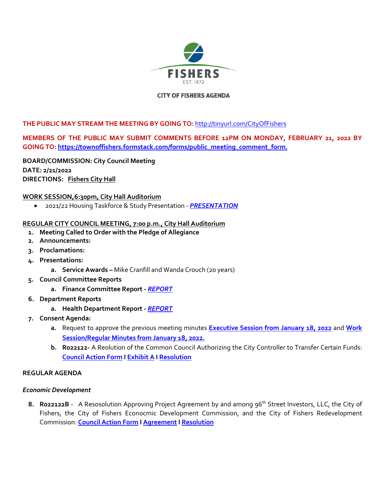

### **CITY OF FISHERS AGENDA**

### **THE PUBLIC MAY STREAM THE MEETING BY GOING TO:** <http://tinyurl.com/CityOfFishers>

# **MEMBERS OF THE PUBLIC MAY SUBMIT COMMENTS BEFORE 12PM ON MONDAY, FEBRUARY 21, 2022 BY GOING TO: [https://townoffishers.formstack.com/forms/public\\_meeting\\_comment\\_form.](https://townoffishers.formstack.com/forms/public_meeting_comment_form)**

**BOARD/COMMISSION: City Council Meeting DATE: 2/21/2022 DIRECTIONS: [Fishers City Hall](http://www.fishers.in.us/Facilities/Facility/Details/Fishers-Town-Hall-29)**

### **WORK SESSION,6:30pm, City Hall Auditorium**

2021/22 Housing Taskforce & Study Presentation - *[PRESENTATION](https://www.fishers.in.us/DocumentCenter/View/28953/Fishers-Housing-Market-Analysis---Draft-Final)*

#### **REGULAR CITY COUNCIL MEETING, 7:00 p.m., City Hall Auditorium**

- **1. Meeting Called to Order with the Pledge of Allegiance**
- **2. Announcements:**
- **3. Proclamations:**
- **4. Presentations:** 
	- **a. Service Awards** Mike Cranfill and Wanda Crouch (20 years)
- **5. Council Committee Reports** 
	- **a. Finance Committee Report -** *[REPORT](https://www.fishers.in.us/DocumentCenter/View/28910/Finance-Committee-Report---02-16-2022)*
- **6. Department Reports** 
	- **a. Health Department Report** *[REPORT](https://www.fishers.in.us/DocumentCenter/View/28945/Health-Department-Update-21722)*
- **7. Consent Agenda:** 
	- **a.** Request to approve the previous meeting minutes **[Executive Session from January 18, 2022](https://www.fishers.in.us/DocumentCenter/View/28909/Minutes---Executive-Session---01-18-2022)** and **[Work](https://www.fishers.in.us/DocumentCenter/View/28871/Minutes---01-18-2022)  [Session/Regular Minutes from January 18, 2022.](https://www.fishers.in.us/DocumentCenter/View/28871/Minutes---01-18-2022)**
	- **b. R022122-** A Reolution of the Common Council Authorizing the City Controller to Transfer Certain Funds: **[Council Action Form](https://www.fishers.in.us/DocumentCenter/View/28859/City-Funds-Transfers---Council-Action-Form---R022122) [I Exhibit A](https://www.fishers.in.us/DocumentCenter/View/28860/City-Funds-Transfers---Exhibit-A---R022122) [I Resolution](https://www.fishers.in.us/DocumentCenter/View/28861/City-Funds-Transfers---Resolution---R022122)**

### **REGULAR AGENDA**

#### *Economic Development*

8. **Ro22122B** - A Resosolution Approving Project Agreement by and among 96<sup>th</sup> Street Investors, LLC, the City of Fishers, the City of Fishers Econocmic Development Commission, and the City of Fishers Redevelopment Commission: **[Council Action Form](https://www.fishers.in.us/DocumentCenter/View/28965/CRG-96th-St-EDA---0---CAF---R022122B) [I Agreement I](https://www.fishers.in.us/DocumentCenter/View/28966/CRG-96th-St-EDA---Agreement---R022122B) [Resolution](https://www.fishers.in.us/DocumentCenter/View/28876/CRG-96th-St-EDA---1---Resolution---R022122B)**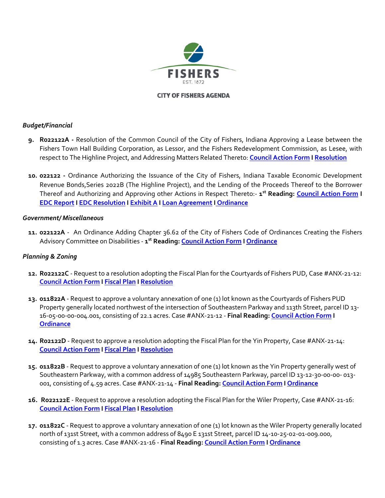

#### **CITY OF FISHERS AGENDA**

### *Budget/Financial*

- **9. R022122A** Resolution of the Common Council of the City of Fishers, Indiana Approving a Lease between the Fishers Town Hall Building Corporation, as Lessor, and the Fishers Redevelopment Commission, as Lesee, with respect to The Highline Project, and Addressing Matters Related Thereto: **[Council Action Form](https://www.fishers.in.us/DocumentCenter/View/28944/APPROVING-LEASE---Highline-Project----Council-Action-Form---R022122A) [I Resolution](https://www.fishers.in.us/DocumentCenter/View/28937/APPROVING-LEASE---Highline-Project---Resolution---R022122A)**
- **10. 022122** Ordinance Authorizing the Issuance of the City of Fishers, Indiana Taxable Economic Development Revenue Bonds,Series 2022B (The Highline Project), and the Lending of the Proceeds Thereof to the Borrower Thereof and Authorizing and Approving other Actions in Respect Thereto:- **1 st Reading: [Council Action Form](https://www.fishers.in.us/DocumentCenter/View/28938/EDC-Bonds---Highline-Project---Council-Action-Form---022122) I [EDC Report](https://www.fishers.in.us/DocumentCenter/View/28939/EDC-Bonds---Highline-Project---Form-of-EDC-Report---022122) I [EDC Resolution I](https://www.fishers.in.us/DocumentCenter/View/28941/EDC-Bonds---Highline-Project---Form-of-Resolution---022122) [Exhibit A I](https://www.fishers.in.us/DocumentCenter/View/28942/EDC-Bonds---Highline-Project---Form-of-TRUST-INDENTURE---022122) [Loan Agreement](https://www.fishers.in.us/DocumentCenter/View/28940/EDC-Bonds---Highline-Project---Form-of-LOAN-AGREEMENT---022122) [I Ordinance](https://www.fishers.in.us/DocumentCenter/View/28943/EDC-Bonds---Highline-Project---Ordinance---022122)**

### *Government/ Miscellaneous*

**11. 022122A** - An Ordinance Adding Chapter 36.62 of the City of Fishers Code of Ordinances Creating the Fishers Advisory Committee on Disabilities - **1 st Reading[: Council Action Form](https://www.fishers.in.us/DocumentCenter/View/28907/Creating-Advisory-Committee-on-Disabilities----CAF---022122A) I [Ordinance](https://www.fishers.in.us/DocumentCenter/View/28908/Creating-Advisory-Committee-on-Disabilities----Ordinance---022122A)**

## *Planning & Zoning*

- **12. R022122C** Request to a resolution adopting the Fiscal Plan for the Courtyards of Fishers PUD, Case #ANX-21-12: **[Council Action Form](https://www.fishers.in.us/DocumentCenter/View/28874/Courtyards-of-Fishers-PUD---Fiscal-Plan---Council-Action-Form---R022122C) [I Fiscal Plan](https://www.fishers.in.us/DocumentCenter/View/28872/Courtyards-of-Fishers-PUD---Fiscal-Plan---R022122C) [I Resolution](https://www.fishers.in.us/DocumentCenter/View/28873/Courtyards-of-Fishers-PUD---Fiscal-Plan---Resolution---R022122C)**
- **13. 011822A** Request to approve a voluntary annexation of one (1) lot known as the Courtyards of Fishers PUD Property generally located northwest of the intersection of Southeastern Parkway and 113th Street, parcel ID 13- 16-05-00-00-004.001, consisting of 22.1 acres. Case #ANX-21-12 - **Final Reading[: Council Action Form I](https://www.fishers.in.us/DocumentCenter/View/28862/Courtyards-of-Fishers-PUD-Annex---Council-Action-Form---011822A) [Ordinance](https://www.fishers.in.us/DocumentCenter/View/28863/Courtyards-of-Fishers-PUD-Annex---Ordinance---011822A)**
- **14. R02122D** Request to approve a resolution adopting the Fiscal Plan for the Yin Property, Case #ANX-21-14: **[Council Action Form](https://www.fishers.in.us/DocumentCenter/View/28885/Yin-Property---Fiscal-Plan---Council-Action-Form---R022122D) [I Fiscal Plan](https://www.fishers.in.us/DocumentCenter/View/28883/Yin-Property---Fiscal-Plan---R022122D) [I Resolution](https://www.fishers.in.us/DocumentCenter/View/28884/Yin-Property---Fiscal-Plan---Resolution---R022122D)**
- **15. 011822B** Request to approve a voluntary annexation of one (1) lot known as the Yin Property generally west of Southeastern Parkway, with a common address of 14985 Southeastern Parkway, parcel ID 13-12-30-00-00- 013- 001, consisting of 4.59 acres. Case #ANX-21-14 - **Final Reading[: Council Action Form I](https://www.fishers.in.us/DocumentCenter/View/28855/Yin-Property-Annex---Council-Action-Form---011822B) [Ordinance](https://www.fishers.in.us/DocumentCenter/View/28856/Yin-Property-Annex---Ordinance---011822B)**
- **16. R022122E** Request to approve a resolution adopting the Fiscal Plan for the Wiler Property, Case #ANX-21-16: **[Council Action Form](https://www.fishers.in.us/DocumentCenter/View/28881/Wiler-Property---Fiscal-Plan---Council-Action-Form---R022122E) [I Fiscal Plan](https://www.fishers.in.us/DocumentCenter/View/28882/Wiler-Property---Fiscal-Plan---R022122E) [I Resolution](https://www.fishers.in.us/DocumentCenter/View/28880/Wiler-Property---Fiscal-Plan---Resolution---R022122E)**
- **17. 011822C** Request to approve a voluntary annexation of one (1) lot known as the Wiler Property generally located north of 131st Street, with a common address of 8490 E 131st Street, parcel ID 14-10-25-02-01-009.000, consisting of 1.3 acres. Case #ANX-21-16 - **Final Reading[: Council Action Form I](https://www.fishers.in.us/DocumentCenter/View/28853/Wiler-Property-Annex---Council-Action-Form---011822C) [Ordinance](https://www.fishers.in.us/DocumentCenter/View/28854/Wiler-Property-Annex---Ordinance---011822C)**